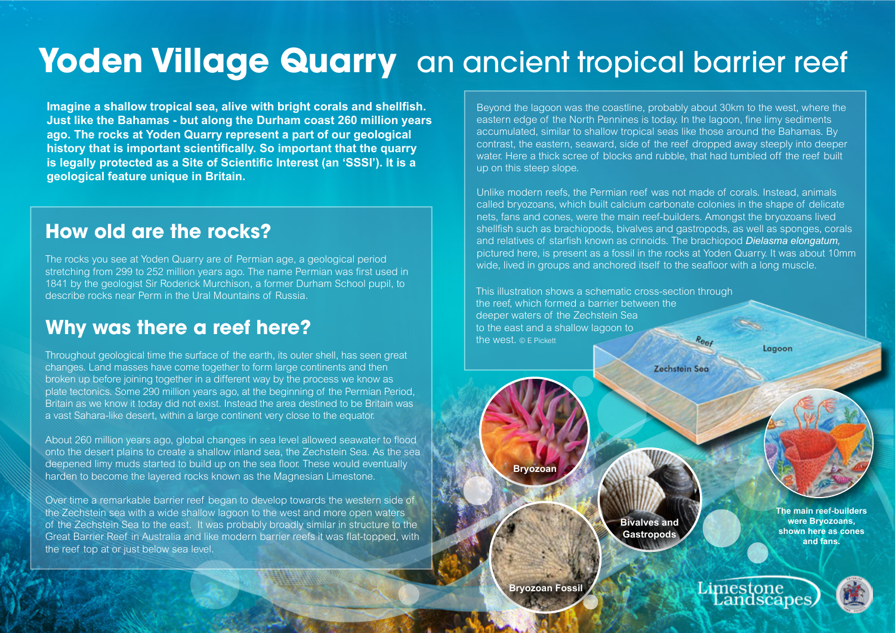## Yoden Village Quarry an ancient tropical barrier reef

**Imagine a shallow tropical sea, alive with bright corals and shellfish. Just like the Bahamas - but along the Durham coast 260 million years ago. The rocks at Yoden Quarry represent a part of our geological history that is important scientifically. So important that the quarry is legally protected as a Site of Scientific Interest (an 'SSSI'). It is a geological feature unique in Britain.**

#### **How old are the rocks?**

The rocks you see at Yoden Quarry are of Permian age, a geological period stretching from 299 to 252 million years ago. The name Permian was first used in 1841 by the geologist Sir Roderick Murchison, a former Durham School pupil, to describe rocks near Perm in the Ural Mountains of Russia.

### **Why was there a reef here?**

Throughout geological time the surface of the earth, its outer shell, has seen great changes. Land masses have come together to form large continents and then broken up before joining together in a different way by the process we know as plate tectonics. Some 290 million years ago, at the beginning of the Permian Period, Britain as we know it today did not exist. Instead the area destined to be Britain was a vast Sahara-like desert, within a large continent very close to the equator.

About 260 million years ago, global changes in sea level allowed seawater to flood onto the desert plains to create a shallow inland sea, the Zechstein Sea. As the sea deepened limy muds started to build up on the sea floor. These would eventually harden to become the layered rocks known as the Magnesian Limestone.

Over time a remarkable barrier reef began to develop towards the western side of the Zechstein sea with a wide shallow lagoon to the west and more open waters of the Zechstein Sea to the east. It was probably broadly similar in structure to the Great Barrier Reef in Australia and like modern barrier reefs it was flat-topped, with the reef top at or just below sea level.

Beyond the lagoon was the coastline, probably about 30km to the west, where the eastern edge of the North Pennines is today. In the lagoon, fine limy sediments accumulated, similar to shallow tropical seas like those around the Bahamas. By contrast, the eastern, seaward, side of the reef dropped away steeply into deeper water. Here a thick scree of blocks and rubble, that had tumbled off the reef built up on this steep slope.

Unlike modern reefs, the Permian reef was not made of corals. Instead, animals called bryozoans, which built calcium carbonate colonies in the shape of delicate nets, fans and cones, were the main reef-builders. Amongst the bryozoans lived shellfish such as brachiopods, bivalves and gastropods, as well as sponges, corals and relatives of starfish known as crinoids. The brachiopod *Dielasma elongatum,*  pictured here, is present as a fossil in the rocks at Yoden Quarry. It was about 10mm wide, lived in groups and anchored itself to the seafloor with a long muscle.

This illustration shows a schematic cross-section through the reef, which formed a barrier between the deeper waters of the Zechstein Sea to the east and a shallow lagoon to the west. © E Pickett

Lagoon **Zechstein Sea Bryozoan The main reef-builders were Bryozoans, Bivalves and shown here as cones Gastropods and fans.** Limestone<br>Landscap **Bryozoan Fossil**